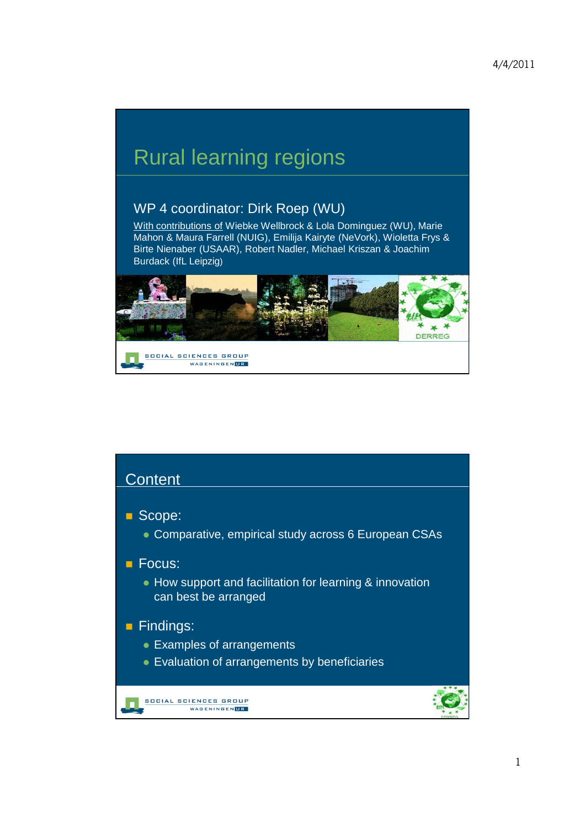## Rural learning regions

## WP 4 coordinator: Dirk Roep (WU)

With contributions of Wiebke Wellbrock & Lola Dominguez (WU), Marie Mahon & Maura Farrell (NUIG), Emilija Kairyte (NeVork), Wioletta Frys & Birte Nienaber (USAAR), Robert Nadler, Michael Kriszan & Joachim Burdack (IfL Leipzig)



| Content                                                                                    |
|--------------------------------------------------------------------------------------------|
| Scope:<br>• Comparative, empirical study across 6 European CSAs                            |
| Focus:<br>• How support and facilitation for learning & innovation<br>can best be arranged |
| Findings:<br>• Examples of arrangements<br>• Evaluation of arrangements by beneficiaries   |
| CIAL SC<br>WAGENINGENUR                                                                    |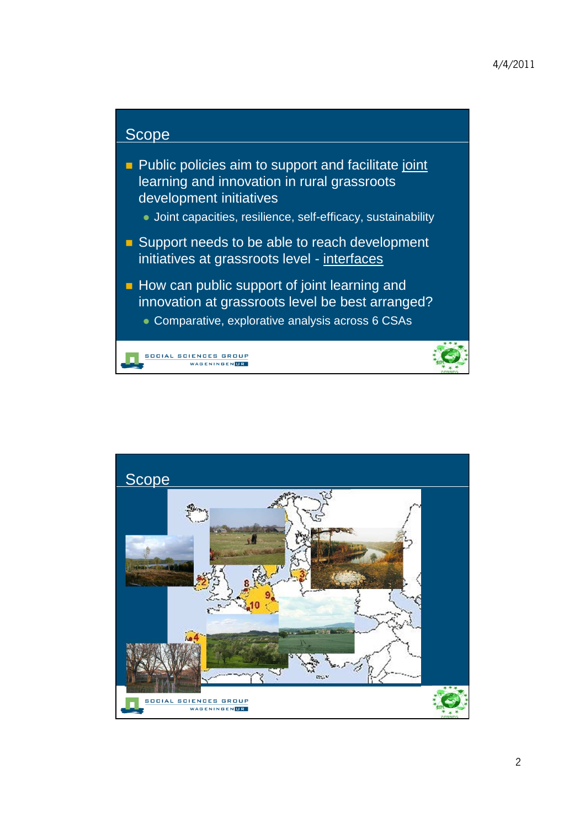

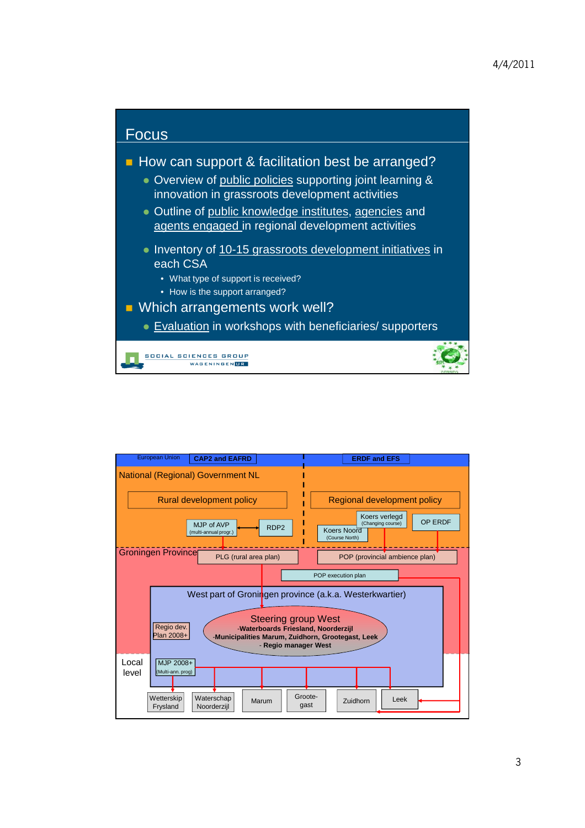

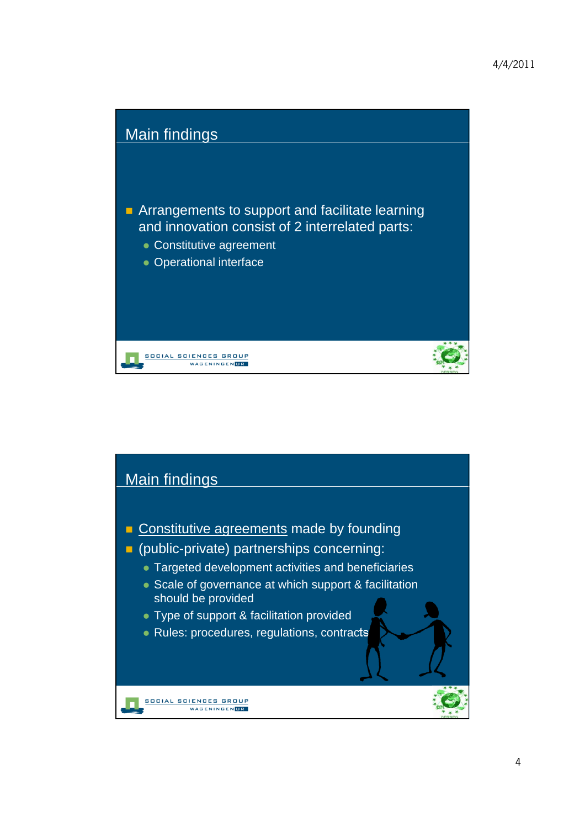

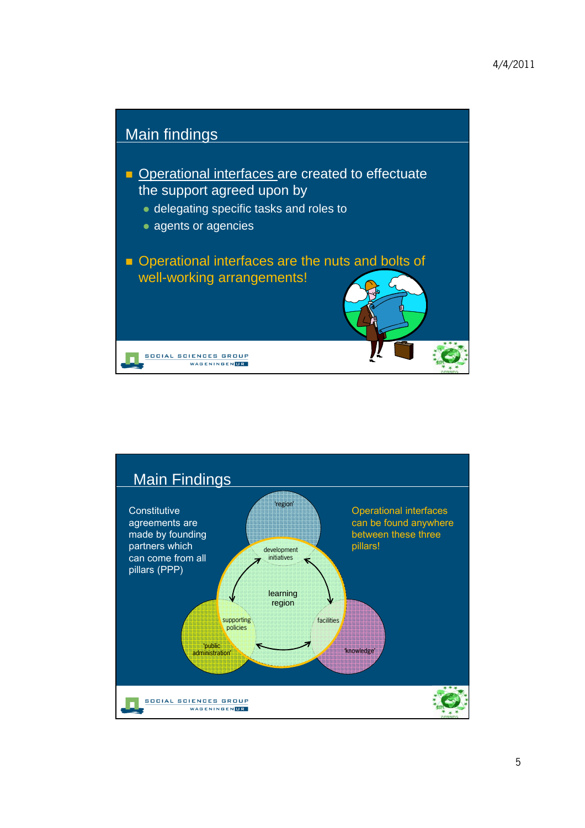

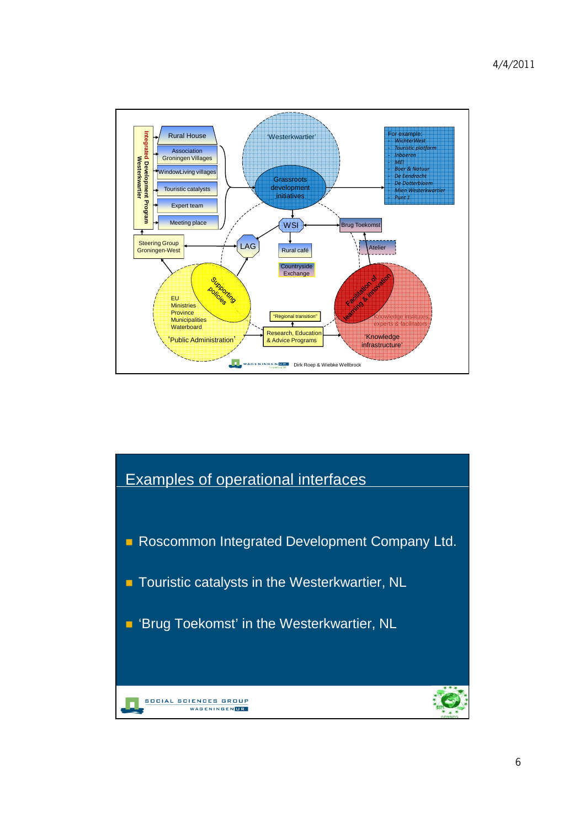

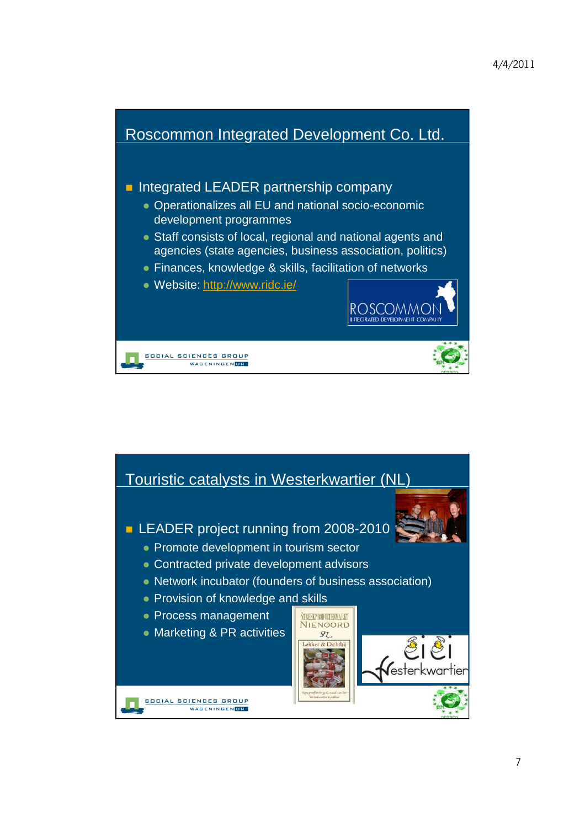

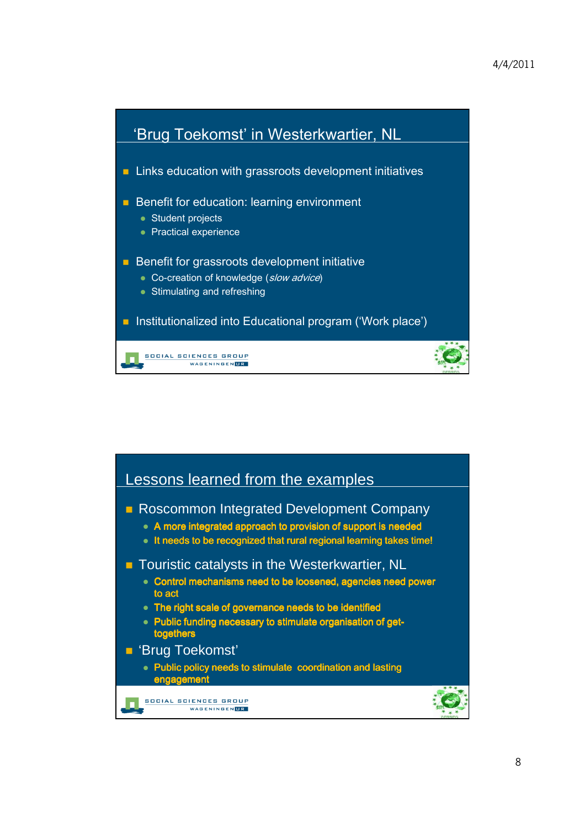

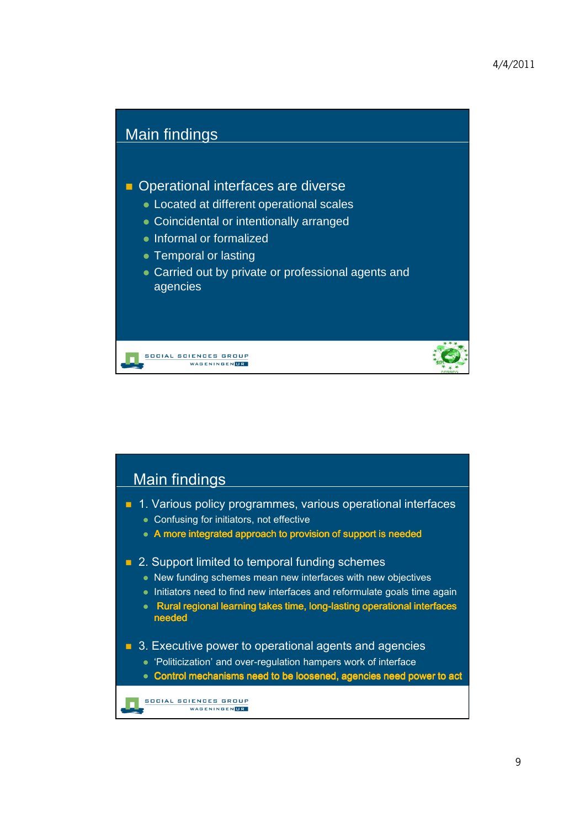

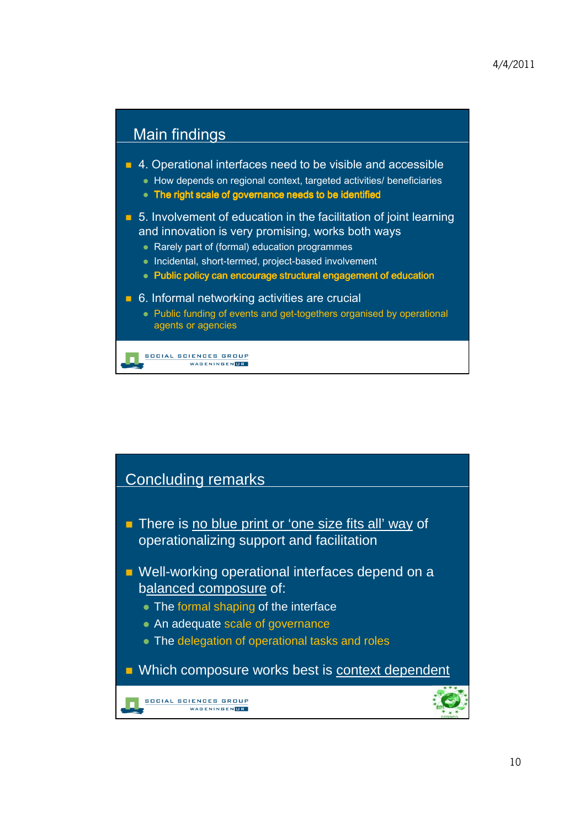